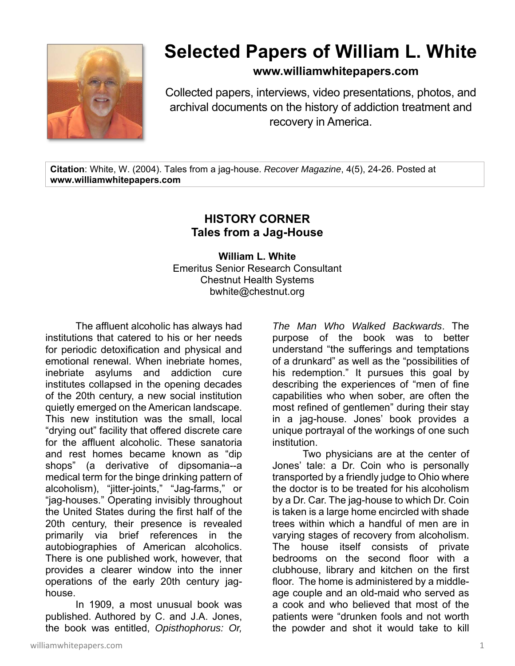

## **Selected Papers of William L. White**

**www.williamwhitepapers.com**

Collected papers, interviews, video presentations, photos, and archival documents on the history of addiction treatment and recovery in America.

**Citation**: White, W. (2004). Tales from a jag-house. *Recover Magazine*, 4(5), 24-26. Posted at **www.williamwhitepapers.com** 

## **HISTORY CORNER Tales from a Jag-House**

**William L. White**  Emeritus Senior Research Consultant Chestnut Health Systems bwhite@chestnut.org

The affluent alcoholic has always had institutions that catered to his or her needs for periodic detoxification and physical and emotional renewal. When inebriate homes, inebriate asylums and addiction cure institutes collapsed in the opening decades of the 20th century, a new social institution quietly emerged on the American landscape. This new institution was the small, local "drying out" facility that offered discrete care for the affluent alcoholic. These sanatoria and rest homes became known as "dip shops" (a derivative of dipsomania--a medical term for the binge drinking pattern of alcoholism), "jitter-joints," "Jag-farms," or "jag-houses." Operating invisibly throughout the United States during the first half of the 20th century, their presence is revealed primarily via brief references in the autobiographies of American alcoholics. There is one published work, however, that provides a clearer window into the inner operations of the early 20th century jaghouse.

In 1909, a most unusual book was published. Authored by C. and J.A. Jones, the book was entitled, *Opisthophorus: Or,* 

*The Man Who Walked Backwards*. The purpose of the book was to better understand "the sufferings and temptations of a drunkard" as well as the "possibilities of his redemption." It pursues this goal by describing the experiences of "men of fine capabilities who when sober, are often the most refined of gentlemen" during their stay in a jag-house. Jones' book provides a unique portrayal of the workings of one such institution.

 Two physicians are at the center of Jones' tale: a Dr. Coin who is personally transported by a friendly judge to Ohio where the doctor is to be treated for his alcoholism by a Dr. Car. The jag-house to which Dr. Coin is taken is a large home encircled with shade trees within which a handful of men are in varying stages of recovery from alcoholism. The house itself consists of private bedrooms on the second floor with a clubhouse, library and kitchen on the first floor. The home is administered by a middleage couple and an old-maid who served as a cook and who believed that most of the patients were "drunken fools and not worth the powder and shot it would take to kill